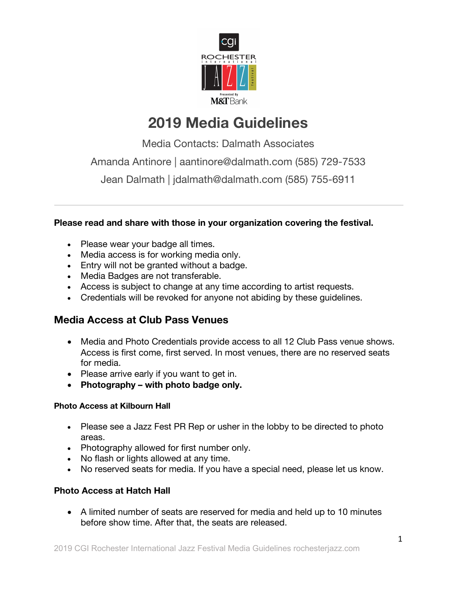

# **2019 Media Guidelines**

Media Contacts: Dalmath Associates

Amanda Antinore | aantinore@dalmath.com (585) 729-7533

Jean Dalmath | jdalmath@dalmath.com (585) 755-6911

#### **Please read and share with those in your organization covering the festival.**

- Please wear your badge all times.
- Media access is for working media only.
- Entry will not be granted without a badge.
- Media Badges are not transferable.
- Access is subject to change at any time according to artist requests.
- Credentials will be revoked for anyone not abiding by these guidelines.

## **Media Access at Club Pass Venues**

- Media and Photo Credentials provide access to all 12 Club Pass venue shows. Access is first come, first served. In most venues, there are no reserved seats for media.
- Please arrive early if you want to get in.
- **Photography – with photo badge only.**

#### **Photo Access at Kilbourn Hall**

- Please see a Jazz Fest PR Rep or usher in the lobby to be directed to photo areas.
- Photography allowed for first number only.
- No flash or lights allowed at any time.
- No reserved seats for media. If you have a special need, please let us know.

### **Photo Access at Hatch Hall**

• A limited number of seats are reserved for media and held up to 10 minutes before show time. After that, the seats are released.